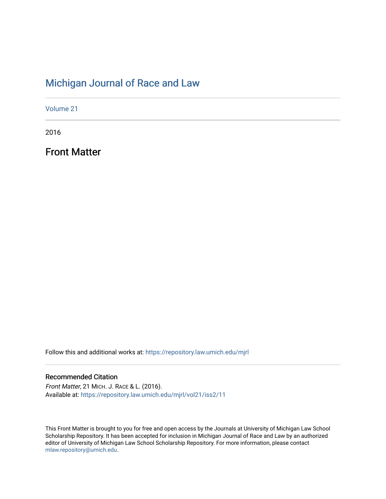### [Michigan Journal of Race and Law](https://repository.law.umich.edu/mjrl)

[Volume 21](https://repository.law.umich.edu/mjrl/vol21)

2016

Front Matter

Follow this and additional works at: [https://repository.law.umich.edu/mjrl](https://repository.law.umich.edu/mjrl?utm_source=repository.law.umich.edu%2Fmjrl%2Fvol21%2Fiss2%2F11&utm_medium=PDF&utm_campaign=PDFCoverPages) 

### Recommended Citation

Front Matter, 21 MICH. J. RACE & L. (2016). Available at: [https://repository.law.umich.edu/mjrl/vol21/iss2/11](https://repository.law.umich.edu/mjrl/vol21/iss2/11?utm_source=repository.law.umich.edu%2Fmjrl%2Fvol21%2Fiss2%2F11&utm_medium=PDF&utm_campaign=PDFCoverPages)

This Front Matter is brought to you for free and open access by the Journals at University of Michigan Law School Scholarship Repository. It has been accepted for inclusion in Michigan Journal of Race and Law by an authorized editor of University of Michigan Law School Scholarship Repository. For more information, please contact [mlaw.repository@umich.edu.](mailto:mlaw.repository@umich.edu)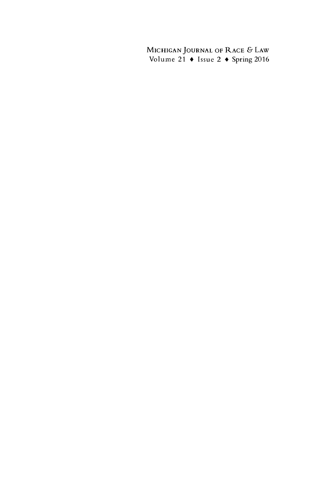**MICHIGAN JOURNAL** OF RACE **&** LAW Volume 21 **\*** Issue 2 + Spring **2016**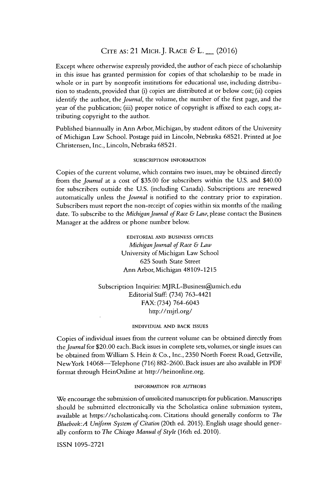### **CITE AS:** 21 MICH.J. RACE **&** L. \_ **(2016)**

Except where otherwise expressly provided, the author of each piece of scholarship in this issue has granted permission for copies of that scholarship to be made in whole or in part **by** nonprofit institutions for educational use, including distribution to students, provided that (i) copies are distributed at or below cost; (ii) copies identify the author, the *journal,* the volume, the number of the first page, and the year of the publication; (iii) proper notice of copyright is affixed to each copy, attributing copyright to the author.

Published biannually in Ann Arbor, Michigan, **by** student editors of the University of Michigan Law School. Postage paid in Lincoln, Nebraska **68521.** Printed at Joe Christensen, Inc., Lincoln, Nebraska **68521.**

#### **SUBSCRIPTION INFORMATION**

Copies of the current volume, which contains two issues, may be obtained directly from the journal at a cost of **\$35.00** for subscribers within the **U.S.** and \$40.00 for subscribers outside the **U.S.** (including Canada). Subscriptions are renewed automatically unless the journal **is** notified to the contrary prior to expiration. Subscribers must report the non-receipt of copies within six months of the mailing date. To subscribe to the *Michigan journal of Race & Law,* please contact the Business Manager at the address or phone number below.

> **EDITORIAL AND BUSINESS OFFICES** *Michigan journal of Race & Law* University of Michigan Law School **625** South State Street Ann Arbor, Michigan **48109-1215**

Subscription Inquiries: MJRL-Business@umich.edu Editorial Staff: (734) 763-4421 FAX: (734) 764-6043 http://mjrl.org/

#### **INDIVIDUAL AND BACK ISSUES**

Copies of individual issues from the current volume can be obtained directly from *the journal* for \$20.00 each. Back issues in complete sets, volumes, or single issues can **be** obtained from Willam **S.** Hein **&** Co., Inc., **2350** North Forest Road, Getzville, NewYork 14068-Telephone **(716) 882-2600.** Back issues are also available in PDF format through HeinOnline at http://heinonline.org.

### **INFORMATION FOR AUTHORS**

We encourage the submission of unsolicited manuscripts for publication. Manuscripts should be submitted electronically via the Scholastica online submission system, available at https://scholasticahq.con. Citations should generally conform to *The Bluebook:A Uniform System of Citation* (20th ed. **2015).** English usage should generally conform to *The Chicago Manual of Style* (16th ed. 2010).

**ISSN 1095-2721**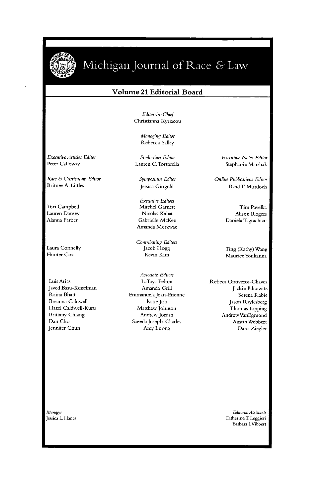

**E I~**

## Michigan Journal of Race & Law

### **Volume** 21 **Editorial Board**

*Editor-in-Chief* Christianna Kyriacou

> Managing Editor Rebecca Salley

Executive Articles Editor Peter Calloway

Race **&** Curriculum Editor Britney **A.** Littles

Tori Campbell Lauren Dansey Alanna Farber

Laura Connelly Hunter **Cox**

Luis Arias Javed Basu-Kesselman Raina Bhatt Breanna Caldwell Hazel Caldwell-Kuru Brittany Chiang Dan Cho Jennifer Chun

Production Editor Lauren C.Tortorella

*Symposium Editor* Jessica Gingold

Executive Editors Mitchel Garnett Nicolas Kabat Gabrielle McKee Amanda Merkwae

Contributing Editors Jacob Hogg Kevin Kim

*Associate* Editors LaToya Felton Amanda Grill Enmanuela Jean-Etienne Katie Job Matthew Johnson Andrew Jordan Saeeda Joseph-Charles Amy Luong

Executive Notes Editor Stephanie Marshak

Online Publications Editor Reid T. Murdoch

> Tim Pavelka Alison Rogers Daniela Tagtachian

Ting (Kathy) Wang MauriceYoukanna

Rebeca Ontiveros-Chavez Jackie Pilcowitz Serena Rabie Jason Raylesberg Thomas Topping AndrewVanEgmond AustinWebbert Dana Ziegler

Manager Jessica L Hanes

*Editorial Assistants* Catherine T Leggieri Barbara [.Vibbert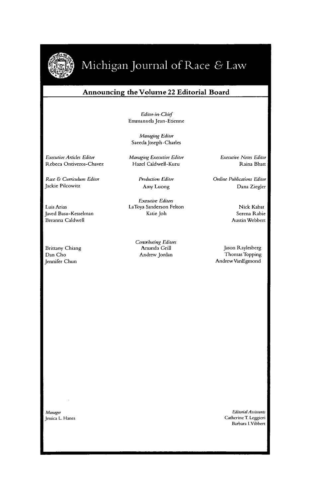

## Michigan Journal of Race & Law

### **Announcing the Volume 22 Editorial Board**

*Editor-in-Chief* Emmanuela Jean-Etienne

*Managing Editor* Saceda Joseph-Charles

*Executive Articles Editor* Rebeca Ontiveros-Chavez

*Race &* Curriculum Editor Jackie Pilcowitz

Luis Arias Javed Basu-Kesselman Breanna Caldwell

Brittany Chiang Dan Cho Jennifer Chun

Managing Executive Editor Hazel Caldwell-Kuru

> Production Editor Amy Luong

*Executive Editors* LaToya Sanderson Felton Katie Joh

> *Contributing Editors* Amanda Grill Andrew Jordan

*Executive Notes Editor* Raina Bhatt

Online Publications Editor Dana Ziegler

> Nick Kabat Serena Rabie Austin Webbert

Jason Raylesberg Thomas Topping AndrewVanEgmond

*Manager* Jessica L. Hanes

Editorial Assistants Catherine T. Leggieri Barbara I.Vibbert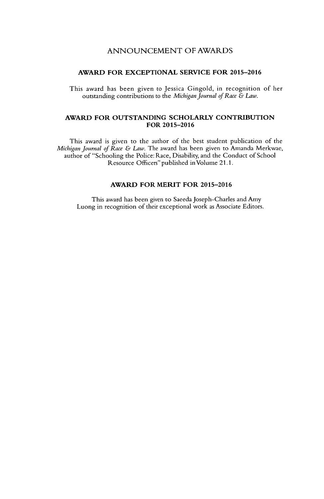### **ANNOUNCEMENT** OF AWARDS

### **AWARD FOR EXCEPTIONAL SERVICE FOR 2015-2016**

This award has been given to Jessica Gingold, in recognition of her outstanding contributions to the *MichiganJournal of Race & Law.*

### **AWARD FOR OUTSTANDING SCHOLARLY CONTRIBUTION FOR 2015-2016**

This award is given to the author of the best student publication of the *Michigan Journal of Race & Law.* The award has been given to Amanda Merkwae, author of "Schooling the Police: Race, Disability, and the Conduct of School Resource Officers" published inVolume **21.1.**

### **AWARD FOR MERIT FOR 2015-2016**

This award has been given to Saceda Joseph-Charles and Amy Luong in recognition of their exceptional work as Associate Editors.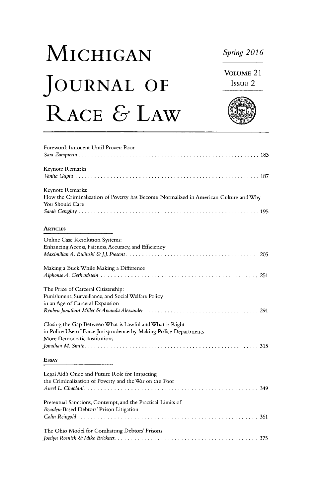# **MICHIGAN** *Spring <sup>2016</sup>* **JOURNAL OF ISSUE 2 RACE & LAW**

**VOLUME** 21

| Foreword: Innocent Until Proven Poor                                                                    |
|---------------------------------------------------------------------------------------------------------|
|                                                                                                         |
| Keynote Remarks                                                                                         |
|                                                                                                         |
| Keynote Remarks:                                                                                        |
| How the Criminalization of Poverty has Become Normalized in American Culture and Why<br>You Should Care |
|                                                                                                         |
| <b>ARTICLES</b>                                                                                         |
| Online Case Resolution Systems:                                                                         |
| Enhancing Access, Fairness, Accuracy, and Efficiency                                                    |
|                                                                                                         |
| Making a Buck While Making a Difference                                                                 |
|                                                                                                         |
| The Price of Carceral Citizenship:                                                                      |
| Punishment, Surveillance, and Social Welfare Policy                                                     |
| in an Age of Carceral Expansion                                                                         |
|                                                                                                         |
| Closing the Gap Between What is Lawful and What is Right                                                |
| in Police Use of Force Jurisprudence by Making Police Departments                                       |
| More Democratic Institutions                                                                            |
|                                                                                                         |
| <b>ESSAY</b>                                                                                            |
| Legal Aid's Once and Future Role for Impacting                                                          |
| the Criminalization of Poverty and the War on the Poor                                                  |
|                                                                                                         |
| Pretextual Sanctions, Contempt, and the Practical Limits of                                             |
| Bearden-Based Debtors' Prison Litigation                                                                |
|                                                                                                         |
| The Ohio Model for Combatting Debtors' Prisons                                                          |
|                                                                                                         |